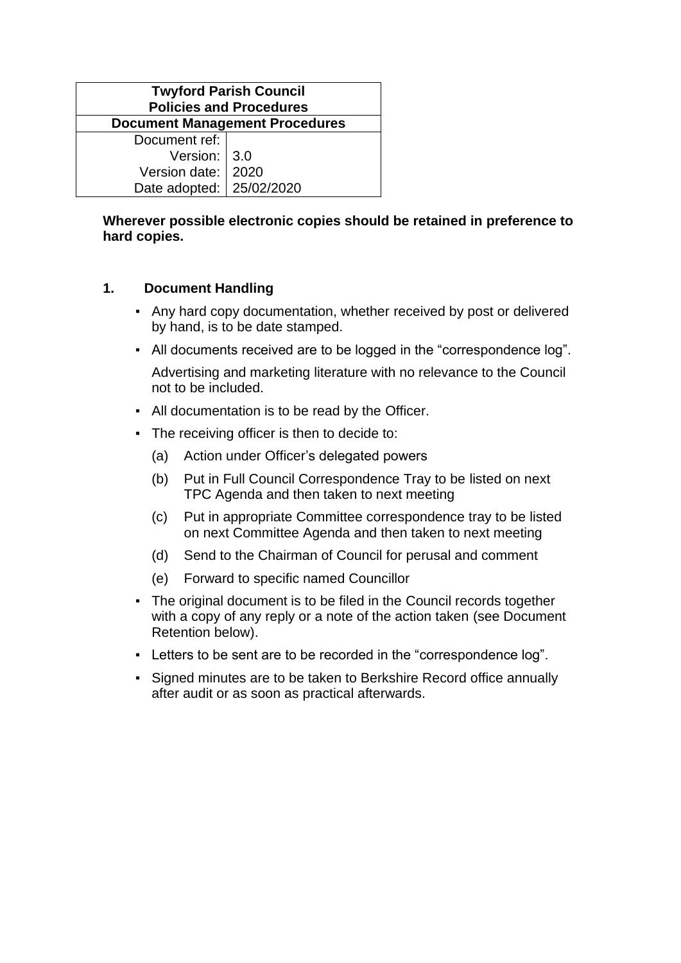| <b>Twyford Parish Council</b><br><b>Policies and Procedures</b> |  |  |  |  |
|-----------------------------------------------------------------|--|--|--|--|
| <b>Document Management Procedures</b>                           |  |  |  |  |
| Document ref:                                                   |  |  |  |  |
| Version: $ 3.0$                                                 |  |  |  |  |
| Version date:   2020                                            |  |  |  |  |
| Date adopted:   25/02/2020                                      |  |  |  |  |

## **Wherever possible electronic copies should be retained in preference to hard copies.**

## **1. Document Handling**

- Any hard copy documentation, whether received by post or delivered by hand, is to be date stamped.
- All documents received are to be logged in the "correspondence log".

Advertising and marketing literature with no relevance to the Council not to be included.

- All documentation is to be read by the Officer.
- The receiving officer is then to decide to:
	- (a) Action under Officer's delegated powers
	- (b) Put in Full Council Correspondence Tray to be listed on next TPC Agenda and then taken to next meeting
	- (c) Put in appropriate Committee correspondence tray to be listed on next Committee Agenda and then taken to next meeting
	- (d) Send to the Chairman of Council for perusal and comment
	- (e) Forward to specific named Councillor
- The original document is to be filed in the Council records together with a copy of any reply or a note of the action taken (see Document Retention below).
- Letters to be sent are to be recorded in the "correspondence log".
- Signed minutes are to be taken to Berkshire Record office annually after audit or as soon as practical afterwards.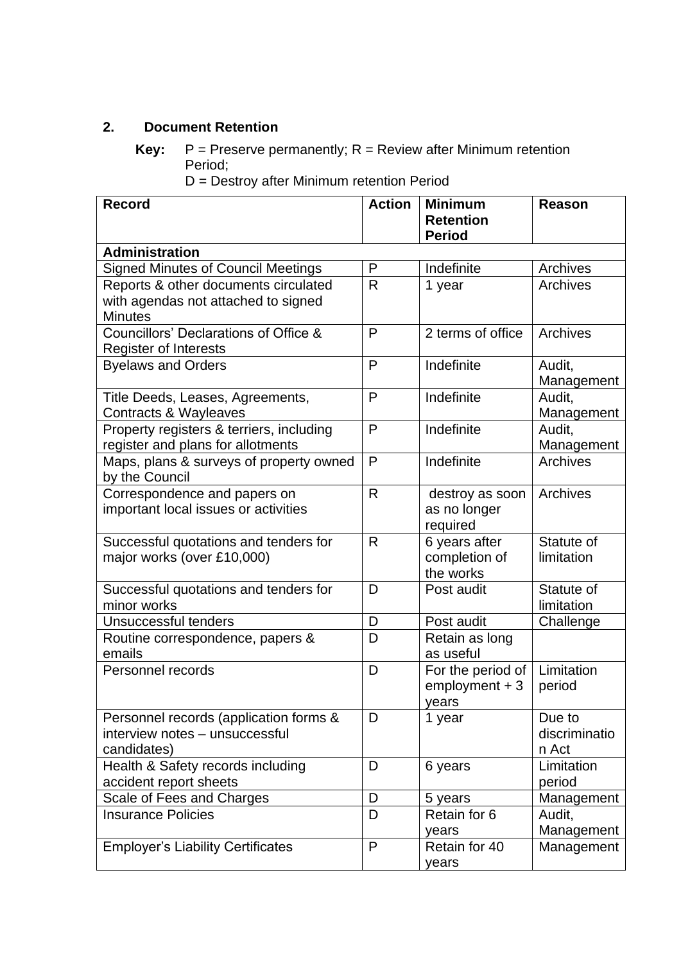## **2. Document Retention**

D = Destroy after Minimum retention Period

| <b>Administration</b><br><b>Signed Minutes of Council Meetings</b><br>Indefinite<br>Archives<br>P<br>R<br>Reports & other documents circulated<br><b>Archives</b><br>1 year<br>with agendas not attached to signed<br><b>Minutes</b><br>Councillors' Declarations of Office &<br>P<br>Archives<br>2 terms of office<br><b>Register of Interests</b><br>Indefinite<br><b>Byelaws and Orders</b><br>P<br>Audit,<br>Management<br>Indefinite<br>P<br>Audit,<br>Title Deeds, Leases, Agreements,<br>Management<br><b>Contracts &amp; Wayleaves</b><br>Indefinite<br>Property registers & terriers, including<br>P<br>Audit,<br>register and plans for allotments<br>Management<br>P<br>Indefinite<br><b>Archives</b><br>Maps, plans & surveys of property owned<br>by the Council<br>Correspondence and papers on<br>R<br>Archives<br>destroy as soon<br>important local issues or activities<br>as no longer<br>required<br>$\mathsf{R}$<br>6 years after<br>Statute of<br>Successful quotations and tenders for<br>completion of<br>major works (over £10,000)<br>limitation<br>the works<br>Statute of<br>Successful quotations and tenders for<br>D<br>Post audit<br>limitation<br>minor works<br>Unsuccessful tenders<br>Post audit<br>D<br>Challenge<br>D<br>Retain as long<br>Routine correspondence, papers &<br>as useful<br>emails<br>Limitation<br>Personnel records<br>D<br>For the period of<br>$emboyment + 3$<br>period<br>years<br>Personnel records (application forms &<br>D<br>1 year<br>Due to<br>interview notes - unsuccessful<br>discriminatio<br>candidates)<br>n Act<br>Health & Safety records including<br>Limitation<br>D<br>6 years<br>accident report sheets<br>period<br>Scale of Fees and Charges<br>D<br>5 years<br>Management<br>D<br><b>Insurance Policies</b><br>Retain for 6<br>Audit,<br>Management<br>years<br>P<br><b>Employer's Liability Certificates</b><br>Retain for 40<br>Management | <b>Record</b> | <b>Action</b> | <b>Minimum</b><br><b>Retention</b> | <b>Reason</b> |  |  |  |
|--------------------------------------------------------------------------------------------------------------------------------------------------------------------------------------------------------------------------------------------------------------------------------------------------------------------------------------------------------------------------------------------------------------------------------------------------------------------------------------------------------------------------------------------------------------------------------------------------------------------------------------------------------------------------------------------------------------------------------------------------------------------------------------------------------------------------------------------------------------------------------------------------------------------------------------------------------------------------------------------------------------------------------------------------------------------------------------------------------------------------------------------------------------------------------------------------------------------------------------------------------------------------------------------------------------------------------------------------------------------------------------------------------------------------------------------------------------------------------------------------------------------------------------------------------------------------------------------------------------------------------------------------------------------------------------------------------------------------------------------------------------------------------------------------------------------------------------------------------------------------------------------------------------------------------|---------------|---------------|------------------------------------|---------------|--|--|--|
|                                                                                                                                                                                                                                                                                                                                                                                                                                                                                                                                                                                                                                                                                                                                                                                                                                                                                                                                                                                                                                                                                                                                                                                                                                                                                                                                                                                                                                                                                                                                                                                                                                                                                                                                                                                                                                                                                                                                | <b>Period</b> |               |                                    |               |  |  |  |
|                                                                                                                                                                                                                                                                                                                                                                                                                                                                                                                                                                                                                                                                                                                                                                                                                                                                                                                                                                                                                                                                                                                                                                                                                                                                                                                                                                                                                                                                                                                                                                                                                                                                                                                                                                                                                                                                                                                                |               |               |                                    |               |  |  |  |
|                                                                                                                                                                                                                                                                                                                                                                                                                                                                                                                                                                                                                                                                                                                                                                                                                                                                                                                                                                                                                                                                                                                                                                                                                                                                                                                                                                                                                                                                                                                                                                                                                                                                                                                                                                                                                                                                                                                                |               |               |                                    |               |  |  |  |
|                                                                                                                                                                                                                                                                                                                                                                                                                                                                                                                                                                                                                                                                                                                                                                                                                                                                                                                                                                                                                                                                                                                                                                                                                                                                                                                                                                                                                                                                                                                                                                                                                                                                                                                                                                                                                                                                                                                                |               |               |                                    |               |  |  |  |
|                                                                                                                                                                                                                                                                                                                                                                                                                                                                                                                                                                                                                                                                                                                                                                                                                                                                                                                                                                                                                                                                                                                                                                                                                                                                                                                                                                                                                                                                                                                                                                                                                                                                                                                                                                                                                                                                                                                                |               |               |                                    |               |  |  |  |
|                                                                                                                                                                                                                                                                                                                                                                                                                                                                                                                                                                                                                                                                                                                                                                                                                                                                                                                                                                                                                                                                                                                                                                                                                                                                                                                                                                                                                                                                                                                                                                                                                                                                                                                                                                                                                                                                                                                                |               |               |                                    |               |  |  |  |
|                                                                                                                                                                                                                                                                                                                                                                                                                                                                                                                                                                                                                                                                                                                                                                                                                                                                                                                                                                                                                                                                                                                                                                                                                                                                                                                                                                                                                                                                                                                                                                                                                                                                                                                                                                                                                                                                                                                                |               |               |                                    |               |  |  |  |
|                                                                                                                                                                                                                                                                                                                                                                                                                                                                                                                                                                                                                                                                                                                                                                                                                                                                                                                                                                                                                                                                                                                                                                                                                                                                                                                                                                                                                                                                                                                                                                                                                                                                                                                                                                                                                                                                                                                                |               |               |                                    |               |  |  |  |
|                                                                                                                                                                                                                                                                                                                                                                                                                                                                                                                                                                                                                                                                                                                                                                                                                                                                                                                                                                                                                                                                                                                                                                                                                                                                                                                                                                                                                                                                                                                                                                                                                                                                                                                                                                                                                                                                                                                                |               |               |                                    |               |  |  |  |
|                                                                                                                                                                                                                                                                                                                                                                                                                                                                                                                                                                                                                                                                                                                                                                                                                                                                                                                                                                                                                                                                                                                                                                                                                                                                                                                                                                                                                                                                                                                                                                                                                                                                                                                                                                                                                                                                                                                                |               |               |                                    |               |  |  |  |
|                                                                                                                                                                                                                                                                                                                                                                                                                                                                                                                                                                                                                                                                                                                                                                                                                                                                                                                                                                                                                                                                                                                                                                                                                                                                                                                                                                                                                                                                                                                                                                                                                                                                                                                                                                                                                                                                                                                                |               |               |                                    |               |  |  |  |
|                                                                                                                                                                                                                                                                                                                                                                                                                                                                                                                                                                                                                                                                                                                                                                                                                                                                                                                                                                                                                                                                                                                                                                                                                                                                                                                                                                                                                                                                                                                                                                                                                                                                                                                                                                                                                                                                                                                                |               |               |                                    |               |  |  |  |
|                                                                                                                                                                                                                                                                                                                                                                                                                                                                                                                                                                                                                                                                                                                                                                                                                                                                                                                                                                                                                                                                                                                                                                                                                                                                                                                                                                                                                                                                                                                                                                                                                                                                                                                                                                                                                                                                                                                                |               |               |                                    |               |  |  |  |
|                                                                                                                                                                                                                                                                                                                                                                                                                                                                                                                                                                                                                                                                                                                                                                                                                                                                                                                                                                                                                                                                                                                                                                                                                                                                                                                                                                                                                                                                                                                                                                                                                                                                                                                                                                                                                                                                                                                                |               |               |                                    |               |  |  |  |
|                                                                                                                                                                                                                                                                                                                                                                                                                                                                                                                                                                                                                                                                                                                                                                                                                                                                                                                                                                                                                                                                                                                                                                                                                                                                                                                                                                                                                                                                                                                                                                                                                                                                                                                                                                                                                                                                                                                                |               |               |                                    |               |  |  |  |
|                                                                                                                                                                                                                                                                                                                                                                                                                                                                                                                                                                                                                                                                                                                                                                                                                                                                                                                                                                                                                                                                                                                                                                                                                                                                                                                                                                                                                                                                                                                                                                                                                                                                                                                                                                                                                                                                                                                                |               |               |                                    |               |  |  |  |
|                                                                                                                                                                                                                                                                                                                                                                                                                                                                                                                                                                                                                                                                                                                                                                                                                                                                                                                                                                                                                                                                                                                                                                                                                                                                                                                                                                                                                                                                                                                                                                                                                                                                                                                                                                                                                                                                                                                                |               |               |                                    |               |  |  |  |
|                                                                                                                                                                                                                                                                                                                                                                                                                                                                                                                                                                                                                                                                                                                                                                                                                                                                                                                                                                                                                                                                                                                                                                                                                                                                                                                                                                                                                                                                                                                                                                                                                                                                                                                                                                                                                                                                                                                                |               |               |                                    |               |  |  |  |
|                                                                                                                                                                                                                                                                                                                                                                                                                                                                                                                                                                                                                                                                                                                                                                                                                                                                                                                                                                                                                                                                                                                                                                                                                                                                                                                                                                                                                                                                                                                                                                                                                                                                                                                                                                                                                                                                                                                                |               |               |                                    |               |  |  |  |
|                                                                                                                                                                                                                                                                                                                                                                                                                                                                                                                                                                                                                                                                                                                                                                                                                                                                                                                                                                                                                                                                                                                                                                                                                                                                                                                                                                                                                                                                                                                                                                                                                                                                                                                                                                                                                                                                                                                                |               |               |                                    |               |  |  |  |
|                                                                                                                                                                                                                                                                                                                                                                                                                                                                                                                                                                                                                                                                                                                                                                                                                                                                                                                                                                                                                                                                                                                                                                                                                                                                                                                                                                                                                                                                                                                                                                                                                                                                                                                                                                                                                                                                                                                                |               |               |                                    |               |  |  |  |
|                                                                                                                                                                                                                                                                                                                                                                                                                                                                                                                                                                                                                                                                                                                                                                                                                                                                                                                                                                                                                                                                                                                                                                                                                                                                                                                                                                                                                                                                                                                                                                                                                                                                                                                                                                                                                                                                                                                                |               |               |                                    |               |  |  |  |
|                                                                                                                                                                                                                                                                                                                                                                                                                                                                                                                                                                                                                                                                                                                                                                                                                                                                                                                                                                                                                                                                                                                                                                                                                                                                                                                                                                                                                                                                                                                                                                                                                                                                                                                                                                                                                                                                                                                                |               |               |                                    |               |  |  |  |
|                                                                                                                                                                                                                                                                                                                                                                                                                                                                                                                                                                                                                                                                                                                                                                                                                                                                                                                                                                                                                                                                                                                                                                                                                                                                                                                                                                                                                                                                                                                                                                                                                                                                                                                                                                                                                                                                                                                                |               |               |                                    |               |  |  |  |
|                                                                                                                                                                                                                                                                                                                                                                                                                                                                                                                                                                                                                                                                                                                                                                                                                                                                                                                                                                                                                                                                                                                                                                                                                                                                                                                                                                                                                                                                                                                                                                                                                                                                                                                                                                                                                                                                                                                                |               |               |                                    |               |  |  |  |
|                                                                                                                                                                                                                                                                                                                                                                                                                                                                                                                                                                                                                                                                                                                                                                                                                                                                                                                                                                                                                                                                                                                                                                                                                                                                                                                                                                                                                                                                                                                                                                                                                                                                                                                                                                                                                                                                                                                                |               |               |                                    |               |  |  |  |
|                                                                                                                                                                                                                                                                                                                                                                                                                                                                                                                                                                                                                                                                                                                                                                                                                                                                                                                                                                                                                                                                                                                                                                                                                                                                                                                                                                                                                                                                                                                                                                                                                                                                                                                                                                                                                                                                                                                                |               |               |                                    |               |  |  |  |
|                                                                                                                                                                                                                                                                                                                                                                                                                                                                                                                                                                                                                                                                                                                                                                                                                                                                                                                                                                                                                                                                                                                                                                                                                                                                                                                                                                                                                                                                                                                                                                                                                                                                                                                                                                                                                                                                                                                                |               |               |                                    |               |  |  |  |
|                                                                                                                                                                                                                                                                                                                                                                                                                                                                                                                                                                                                                                                                                                                                                                                                                                                                                                                                                                                                                                                                                                                                                                                                                                                                                                                                                                                                                                                                                                                                                                                                                                                                                                                                                                                                                                                                                                                                |               |               |                                    |               |  |  |  |
|                                                                                                                                                                                                                                                                                                                                                                                                                                                                                                                                                                                                                                                                                                                                                                                                                                                                                                                                                                                                                                                                                                                                                                                                                                                                                                                                                                                                                                                                                                                                                                                                                                                                                                                                                                                                                                                                                                                                |               |               |                                    |               |  |  |  |
|                                                                                                                                                                                                                                                                                                                                                                                                                                                                                                                                                                                                                                                                                                                                                                                                                                                                                                                                                                                                                                                                                                                                                                                                                                                                                                                                                                                                                                                                                                                                                                                                                                                                                                                                                                                                                                                                                                                                |               |               |                                    |               |  |  |  |
|                                                                                                                                                                                                                                                                                                                                                                                                                                                                                                                                                                                                                                                                                                                                                                                                                                                                                                                                                                                                                                                                                                                                                                                                                                                                                                                                                                                                                                                                                                                                                                                                                                                                                                                                                                                                                                                                                                                                |               |               |                                    |               |  |  |  |
|                                                                                                                                                                                                                                                                                                                                                                                                                                                                                                                                                                                                                                                                                                                                                                                                                                                                                                                                                                                                                                                                                                                                                                                                                                                                                                                                                                                                                                                                                                                                                                                                                                                                                                                                                                                                                                                                                                                                |               |               |                                    |               |  |  |  |
|                                                                                                                                                                                                                                                                                                                                                                                                                                                                                                                                                                                                                                                                                                                                                                                                                                                                                                                                                                                                                                                                                                                                                                                                                                                                                                                                                                                                                                                                                                                                                                                                                                                                                                                                                                                                                                                                                                                                |               |               |                                    |               |  |  |  |
|                                                                                                                                                                                                                                                                                                                                                                                                                                                                                                                                                                                                                                                                                                                                                                                                                                                                                                                                                                                                                                                                                                                                                                                                                                                                                                                                                                                                                                                                                                                                                                                                                                                                                                                                                                                                                                                                                                                                |               |               |                                    |               |  |  |  |
|                                                                                                                                                                                                                                                                                                                                                                                                                                                                                                                                                                                                                                                                                                                                                                                                                                                                                                                                                                                                                                                                                                                                                                                                                                                                                                                                                                                                                                                                                                                                                                                                                                                                                                                                                                                                                                                                                                                                |               |               |                                    |               |  |  |  |
|                                                                                                                                                                                                                                                                                                                                                                                                                                                                                                                                                                                                                                                                                                                                                                                                                                                                                                                                                                                                                                                                                                                                                                                                                                                                                                                                                                                                                                                                                                                                                                                                                                                                                                                                                                                                                                                                                                                                |               |               | years                              |               |  |  |  |

**Key:**  $P =$  Preserve permanently;  $R =$  Review after Minimum retention Period;